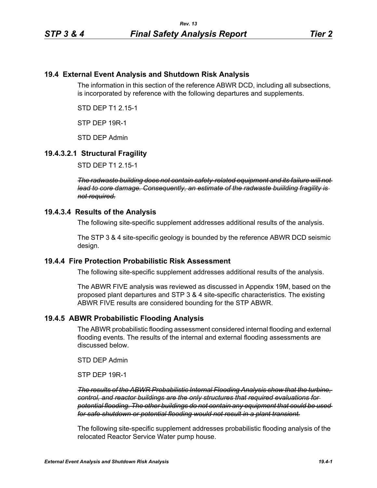## **19.4 External Event Analysis and Shutdown Risk Analysis**

The information in this section of the reference ABWR DCD, including all subsections, is incorporated by reference with the following departures and supplements.

STD DEP T1 2.15-1

STP DEP 19R-1

STD DEP Admin

# **19.4.3.2.1 Structural Fragility**

STD DEP T1 2.15-1

*The radwaste building does not contain safety-related equipment and its failure will not lead to core damage. Consequently, an estimate of the radwaste buiilding fragility is not required.*

### **19.4.3.4 Results of the Analysis**

The following site-specific supplement addresses additional results of the analysis.

The STP 3 & 4 site-specific geology is bounded by the reference ABWR DCD seismic design.

### **19.4.4 Fire Protection Probabilistic Risk Assessment**

The following site-specific supplement addresses additional results of the analysis.

The ABWR FIVE analysis was reviewed as discussed in Appendix 19M, based on the proposed plant departures and STP 3 & 4 site-specific characteristics. The existing ABWR FIVE results are considered bounding for the STP ABWR.

### **19.4.5 ABWR Probabilistic Flooding Analysis**

The ABWR probabilistic flooding assessment considered internal flooding and external flooding events. The results of the internal and external flooding assessments are discussed below.

STD DEP Admin

STP DEP 19R-1

*The results of the ABWR Probabilistic Internal Flooding Analysis show that the turbine, control, and reactor buildings are the only structures that required evaluations for potential flooding. The other buildings do not contain any equipment that could be used for safe shutdown or potential flooding would not result in a plant transient.*

The following site-specific supplement addresses probabilistic flooding analysis of the relocated Reactor Service Water pump house.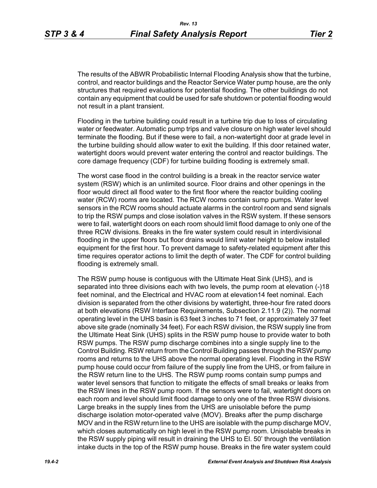The results of the ABWR Probabilistic Internal Flooding Analysis show that the turbine, control, and reactor buildings and the Reactor Service Water pump house, are the only structures that required evaluations for potential flooding. The other buildings do not contain any equipment that could be used for safe shutdown or potential flooding would not result in a plant transient.

Flooding in the turbine building could result in a turbine trip due to loss of circulating water or feedwater. Automatic pump trips and valve closure on high water level should terminate the flooding. But if these were to fail, a non-watertight door at grade level in the turbine building should allow water to exit the building. If this door retained water, watertight doors would prevent water entering the control and reactor buildings. The core damage frequency (CDF) for turbine building flooding is extremely small.

The worst case flood in the control building is a break in the reactor service water system (RSW) which is an unlimited source. Floor drains and other openings in the floor would direct all flood water to the first floor where the reactor building cooling water (RCW) rooms are located. The RCW rooms contain sump pumps. Water level sensors in the RCW rooms should actuate alarms in the control room and send signals to trip the RSW pumps and close isolation valves in the RSW system. If these sensors were to fail, watertight doors on each room should limit flood damage to only one of the three RCW divisions. Breaks in the fire water system could result in interdivisional flooding in the upper floors but floor drains would limit water height to below installed equipment for the first hour. To prevent damage to safety-related equipment after this time requires operator actions to limit the depth of water. The CDF for control building flooding is extremely small.

The RSW pump house is contiguous with the Ultimate Heat Sink (UHS), and is separated into three divisions each with two levels, the pump room at elevation (-)18 feet nominal, and the Electrical and HVAC room at elevation14 feet nominal. Each division is separated from the other divisions by watertight, three-hour fire rated doors at both elevations (RSW Interface Requirements, Subsection 2.11.9 (2)). The normal operating level in the UHS basin is 63 feet 3 inches to 71 feet, or approximately 37 feet above site grade (nominally 34 feet). For each RSW division, the RSW supply line from the Ultimate Heat Sink (UHS) splits in the RSW pump house to provide water to both RSW pumps. The RSW pump discharge combines into a single supply line to the Control Building. RSW return from the Control Building passes through the RSW pump rooms and returns to the UHS above the normal operating level. Flooding in the RSW pump house could occur from failure of the supply line from the UHS, or from failure in the RSW return line to the UHS. The RSW pump rooms contain sump pumps and water level sensors that function to mitigate the effects of small breaks or leaks from the RSW lines in the RSW pump room. If the sensors were to fail, watertight doors on each room and level should limit flood damage to only one of the three RSW divisions. Large breaks in the supply lines from the UHS are unisolable before the pump discharge isolation motor-operated valve (MOV). Breaks after the pump discharge MOV and in the RSW return line to the UHS are isolable with the pump discharge MOV, which closes automatically on high level in the RSW pump room. Unisolable breaks in the RSW supply piping will result in draining the UHS to El. 50' through the ventilation intake ducts in the top of the RSW pump house. Breaks in the fire water system could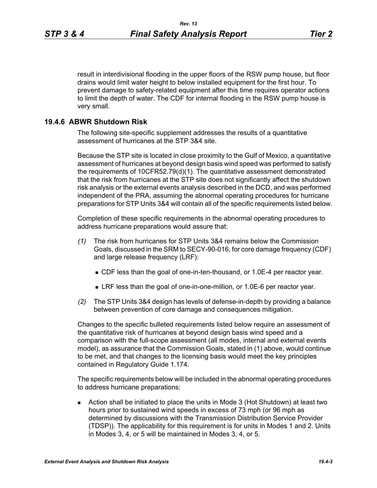result in interdivisional flooding in the upper floors of the RSW pump house, but floor drains would limit water height to below installed equipment for the first hour. To prevent damage to safety-related equipment after this time requires operator actions to limit the depth of water. The CDF for internal flooding in the RSW pump house is very small.

#### **19.4.6 ABWR Shutdown Risk**

The following site-specific supplement addresses the results of a quantitative assessment of hurricanes at the STP 3&4 site.

Because the STP site is located in close proximity to the Gulf of Mexico, a quantitative assessment of hurricanes at beyond design basis wind speed was performed to satisfy the requirements of 10CFR52.79(d)(1). The quantitative assessment demonstrated that the risk from hurricanes at the STP site does not significantly affect the shutdown risk analysis or the external events analysis described in the DCD, and was performed independent of the PRA, assuming the abnormal operating procedures for hurricane preparations for STP Units 3&4 will contain all of the specific requirements listed below.

Completion of these specific requirements in the abnormal operating procedures to address hurricane preparations would assure that:

- *(1)* The risk from hurricanes for STP Units 3&4 remains below the Commission Goals, discussed in the SRM to SECY-90-016, for core damage frequency (CDF) and large release frequency (LRF):
	- CDF less than the goal of one-in-ten-thousand, or 1.0E-4 per reactor year.
	- LRF less than the goal of one-in-one-million, or 1.0E-6 per reactor year.
- *(2)* The STP Units 3&4 design has levels of defense-in-depth by providing a balance between prevention of core damage and consequences mitigation.

Changes to the specific bulleted requirements listed below require an assessment of the quantitative risk of hurricanes at beyond design basis wind speed and a comparison with the full-scope assessment (all modes, internal and external events model), as assurance that the Commission Goals, stated in (1) above, would continue to be met, and that changes to the licensing basis would meet the key principles contained in Regulatory Guide 1.174.

The specific requirements below will be included in the abnormal operating procedures to address hurricane preparations:

 Action shall be initiated to place the units in Mode 3 (Hot Shutdown) at least two hours prior to sustained wind speeds in excess of 73 mph (or 96 mph as determined by discussions with the Transmission Distribution Service Provider (TDSP)). The applicability for this requirement is for units in Modes 1 and 2. Units in Modes 3, 4, or 5 will be maintained in Modes 3, 4, or 5.